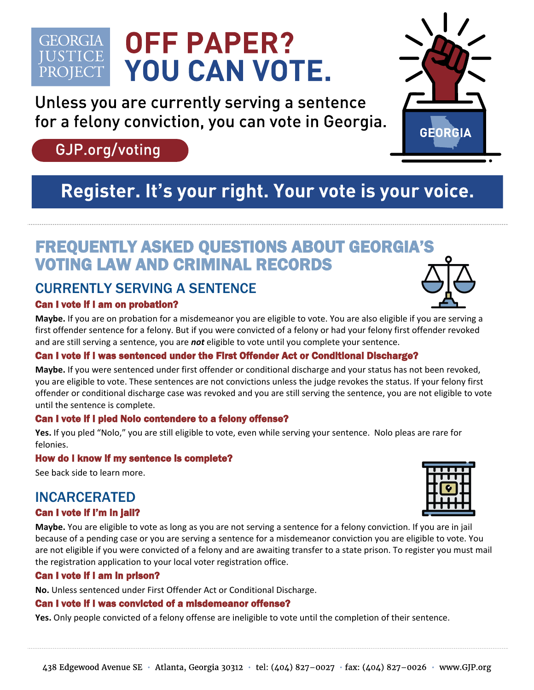## **OFF PAPER? GEORGIA IUSTICE** YOU CAN VOTE. PROJECT

Unless you are currently serving a sentence for a felony conviction, you can vote in Georgia.

# GJP.org/voting

# Register. It's your right. Your vote is your voice.

# FREQUENTLY ASKED QUESTIONS ABOUT GEORGIA'S VOTING LAW AND CRIMINAL RECORDS

## CURRENTLY SERVING A SENTENCE

## Can I vote if I am on probation?

**Maybe.** If you are on probation for a misdemeanor you are eligible to vote. You are also eligible if you are serving a first offender sentence for a felony. But if you were convicted of a felony or had your felony first offender revoked and are still serving a sentence, you are *not* eligible to vote until you complete your sentence.

## Can I vote if I was sentenced under the First Offender Act or Conditional Discharge?

**Maybe.** If you were sentenced under first offender or conditional discharge and your status has not been revoked, you are eligible to vote. These sentences are not convictions unless the judge revokes the status. If your felony first offender or conditional discharge case was revoked and you are still serving the sentence, you are not eligible to vote until the sentence is complete.

## Can I vote if I pled Nolo contendere to a felony offense?

**Yes.** If you pled "Nolo," you are still eligible to vote, even while serving your sentence. Nolo pleas are rare for felonies.

## How do I know if my sentence is complete?

See back side to learn more.

## INCARCERATED

## Can I vote if I'm in jail?

**Maybe.** You are eligible to vote as long as you are not serving a sentence for a felony conviction. If you are in jail because of a pending case or you are serving a sentence for a misdemeanor conviction you are eligible to vote. You are not eligible if you were convicted of a felony and are awaiting transfer to a state prison. To register you must mail the registration application to your local voter registration office.

## Can I vote if I am in prison?

**No.** Unless sentenced under First Offender Act or Conditional Discharge.

#### Can I vote if I was convicted of a misdemeanor offense?

**Yes.** Only people convicted of a felony offense are ineligible to vote until the completion of their sentence.